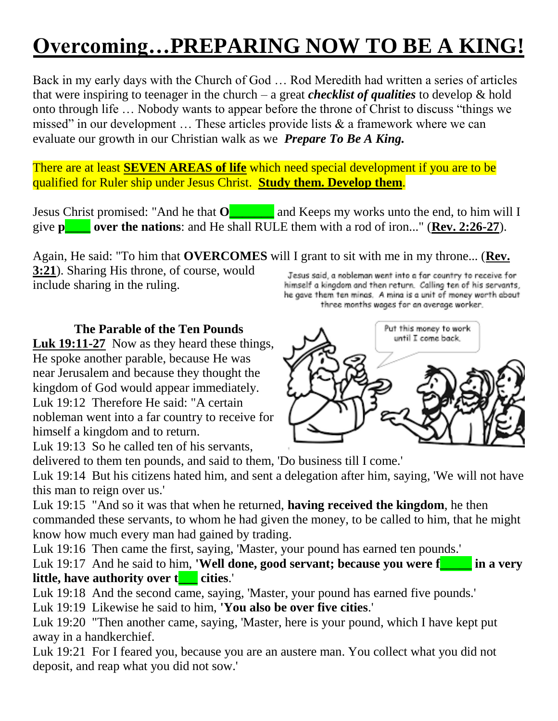# **Overcoming…PREPARING NOW TO BE A KING!**

Back in my early days with the Church of God … Rod Meredith had written a series of articles that were inspiring to teenager in the church – a great *checklist of qualities* to develop & hold onto through life ... Nobody wants to appear before the throne of Christ to discuss "things we missed" in our development  $\ldots$  These articles provide lists  $\&$  a framework where we can evaluate our growth in our Christian walk as we *Prepare To Be A King.*

There are at least **SEVEN AREAS of life** which need special development if you are to be qualified for Ruler ship under Jesus Christ. **Study them. Develop them**.

Jesus Christ promised: "And he that **O\_\_\_\_\_\_\_** and Keeps my works unto the end, to him will I give **p\_\_\_\_ over the nations**: and He shall RULE them with a rod of iron..." (**Rev. 2:26-27**).

Again, He said: "To him that **OVERCOMES** will I grant to sit with me in my throne... (**Rev. 3:21**). Sharing His throne, of course, would

include sharing in the ruling.

Jesus said, a nobleman went into a far country to receive for himself a kingdom and then return. Calling ten of his servants, he gave them ten minas. A mina is a unit of money worth about three months wages for an average worker.



 **The Parable of the Ten Pounds**

**Luk 19:11-27** Now as they heard these things, He spoke another parable, because He was near Jerusalem and because they thought the kingdom of God would appear immediately. Luk 19:12 Therefore He said: "A certain nobleman went into a far country to receive for himself a kingdom and to return.

Luk 19:13 So he called ten of his servants,

delivered to them ten pounds, and said to them, 'Do business till I come.'

Luk 19:14 But his citizens hated him, and sent a delegation after him, saying, 'We will not have this man to reign over us.'

Luk 19:15 "And so it was that when he returned, **having received the kingdom**, he then commanded these servants, to whom he had given the money, to be called to him, that he might know how much every man had gained by trading.

Luk 19:16 Then came the first, saying, 'Master, your pound has earned ten pounds.'

Luk 19:17 And he said to him, **'Well done, good servant; because you were f\_\_\_\_\_ in a very little, have authority over t\_\_\_ cities**.'

Luk 19:18 And the second came, saying, 'Master, your pound has earned five pounds.'

Luk 19:19 Likewise he said to him, **'You also be over five cities**.'

Luk 19:20 "Then another came, saying, 'Master, here is your pound, which I have kept put away in a handkerchief.

Luk 19:21 For I feared you, because you are an austere man. You collect what you did not deposit, and reap what you did not sow.'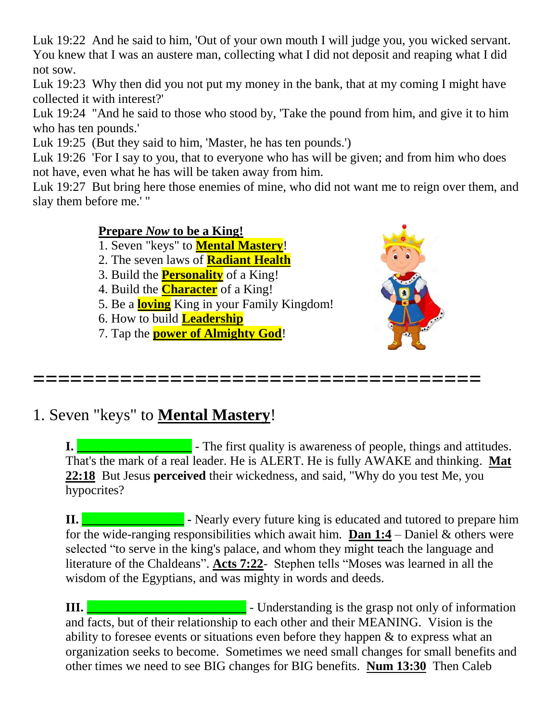Luk 19:22 And he said to him, 'Out of your own mouth I will judge you, you wicked servant. You knew that I was an austere man, collecting what I did not deposit and reaping what I did not sow.

Luk 19:23 Why then did you not put my money in the bank, that at my coming I might have collected it with interest?'

Luk 19:24 "And he said to those who stood by, 'Take the pound from him, and give it to him who has ten pounds.'

Luk 19:25 (But they said to him, 'Master, he has ten pounds.')

Luk 19:26 'For I say to you, that to everyone who has will be given; and from him who does not have, even what he has will be taken away from him.

Luk 19:27 But bring here those enemies of mine, who did not want me to reign over them, and slay them before me.' "

#### **Prepare** *Now* **to be a King!**

1. Seven "keys" to **Mental Mastery**!

2. The seven laws of **Radiant Health**

3. Build the **Personality** of a King!

4. Build the **Character** of a King!

5. Be a **loving** King in your Family Kingdom!

6. How to build **Leadership**

7. Tap the **power of Almighty God**!



**====================================**

## 1. Seven "keys" to **Mental Mastery**!

**I. I. I. Exercise 2.1 I.** The first quality is awareness of people, things and attitudes. That's the mark of a real leader. He is ALERT. He is fully AWAKE and thinking. **Mat 22:18** But Jesus **perceived** their wickedness, and said, "Why do you test Me, you hypocrites?

**II. II. Example 2 -** Nearly every future king is educated and tutored to prepare him for the wide-ranging responsibilities which await him. **Dan 1:4** – Daniel & others were selected "to serve in the king's palace, and whom they might teach the language and literature of the Chaldeans". Acts 7:22- Stephen tells "Moses was learned in all the wisdom of the Egyptians, and was mighty in words and deeds.

**III. III. III. III. III. III. III. III. III. III. III. III. III. III. III. III. III. III. III. III. III. III. III. III. III. III. III. III. III. III. III. III.** and facts, but of their relationship to each other and their MEANING. Vision is the ability to foresee events or situations even before they happen & to express what an organization seeks to become. Sometimes we need small changes for small benefits and other times we need to see BIG changes for BIG benefits. **Num 13:30** Then Caleb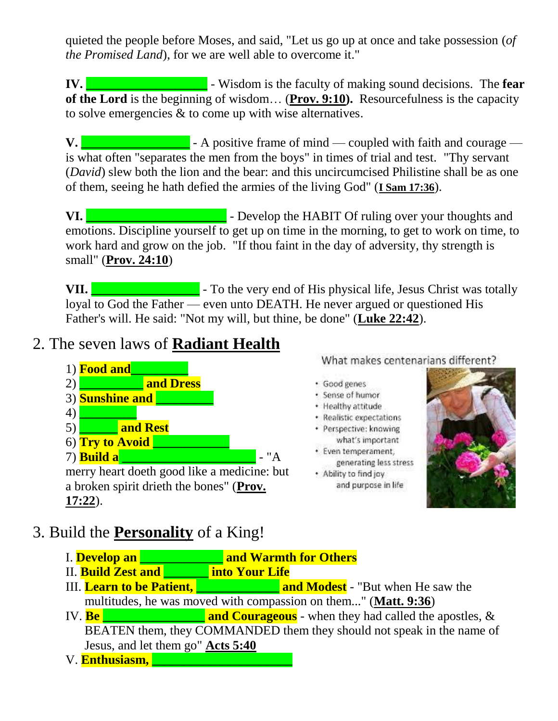quieted the people before Moses, and said, "Let us go up at once and take possession (*of the Promised Land*), for we are well able to overcome it."

**IV. \_\_\_\_\_\_\_\_\_\_\_\_\_\_\_\_\_\_\_** - Wisdom is the faculty of making sound decisions. The **fear of the Lord** is the beginning of wisdom… (**Prov. 9:10).** Resourcefulness is the capacity to solve emergencies & to come up with wise alternatives.

**V. V. Example 1** - A positive frame of mind — coupled with faith and courage is what often "separates the men from the boys" in times of trial and test. "Thy servant (*David*) slew both the lion and the bear: and this uncircumcised Philistine shall be as one of them, seeing he hath defied the armies of the living God" (**I Sam 17:36**).

**VI. VI. We are also assumed that the U.S. S. The U.S. S. A. S. S. A. S. S. A. S. S. A. S. S. A. S. S. A. S. S. A. S. S. A. S. S. A. S. A. S. S. A. S. S. A. S. S. A. S. S. A. S. S. A. S. S. A. S. S. A. S. S. A. S. S. A** emotions. Discipline yourself to get up on time in the morning, to get to work on time, to work hard and grow on the job. "If thou faint in the day of adversity, thy strength is small" (**Prov. 24:10**)

**VII. VII. VII. To the very end of His physical life, Jesus Christ was totally** loyal to God the Father — even unto DEATH. He never argued or questioned His Father's will. He said: "Not my will, but thine, be done" (**Luke 22:42**).

## 2. The seven laws of **Radiant Health**



What makes centenarians different?

- · Good genes
- · Sense of humor
- · Healthy attitude
- · Realistic expectations
- · Perspective: knowing what's important
- · Even temperament, generating less stress
- . Ability to find joy and purpose in life



- 3. Build the **Personality** of a King!
	- I. **Develop an \_\_\_\_\_\_\_\_\_\_\_\_\_ and Warmth for Others**
	- II. **Build Zest and \_\_\_\_\_\_\_ into Your Life**
	- **III.** Learn to be Patient, **Example 20** and **Modest** "But when He saw the multitudes, he was moved with compassion on them..." (**Matt. 9:36**)

IV. **Be Example 2.1 and Courageous** - when they had called the apostles,  $\&$  BEATEN them, they COMMANDED them they should not speak in the name of Jesus, and let them go" **Acts 5:40**

V. **Enthusiasm, \_\_\_\_\_\_\_\_\_\_\_\_\_\_\_\_\_\_\_\_\_\_**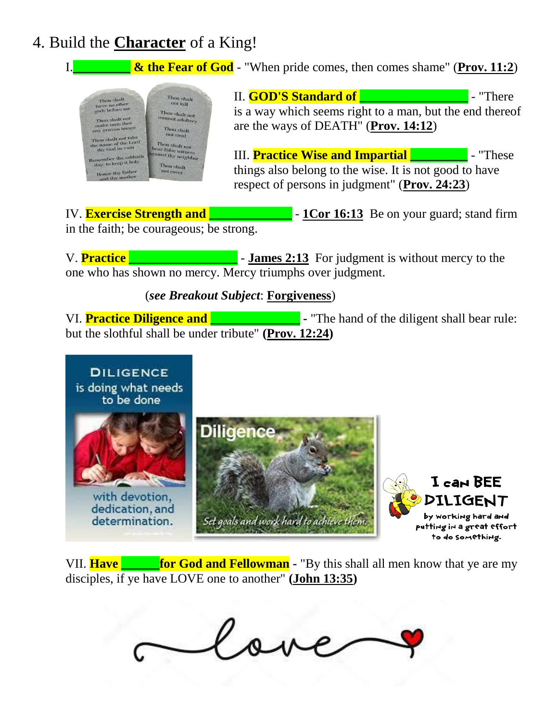## 4. Build the **Character** of a King!



IV. **Exercise Strength and \_\_\_\_\_\_\_\_\_\_\_\_\_** - **1Cor 16:13** Be on your guard; stand firm in the faith; be courageous; be strong.

V. **Practice Exercise 2:13** For judgment is without mercy to the one who has shown no mercy. Mercy triumphs over judgment.

(*see Breakout Subject*: **Forgiveness**)

VI. **Practice Diligence and <b>F -** "The hand of the diligent shall bear rule: but the slothful shall be under tribute" **(Prov. 12:24)**



VII. **Have for God and Fellowman** - "By this shall all men know that ye are my disciples, if ye have LOVE one to another" **(John 13:35)**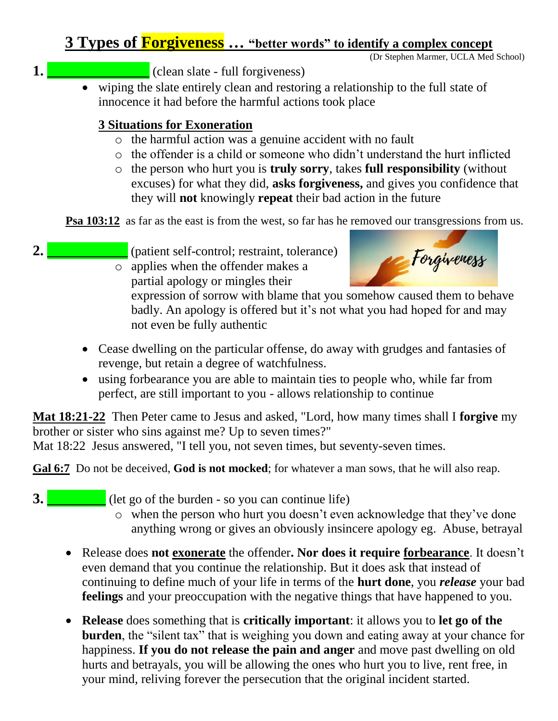## **3 Types of Forgiveness … "better words" to identify a complex concept**

(Dr Stephen Marmer, UCLA Med School)

- **1. \_\_\_\_\_\_\_\_\_\_\_\_\_\_** (clean slate full forgiveness)
	- wiping the slate entirely clean and restoring a relationship to the full state of innocence it had before the harmful actions took place

### **3 Situations for Exoneration**

- o the harmful action was a genuine accident with no fault
- o the offender is a child or someone who didn't understand the hurt inflicted
- o the person who hurt you is **truly sorry**, takes **full responsibility** (without excuses) for what they did, **asks forgiveness,** and gives you confidence that they will **not** knowingly **repeat** their bad action in the future

**Psa 103:12** as far as the east is from the west, so far has he removed our transgressions from us.

**2. 2.** (patient self-control; restraint, tolerance) o applies when the offender makes a

partial apology or mingles their



expression of sorrow with blame that you somehow caused them to behave badly. An apology is offered but it's not what you had hoped for and may not even be fully authentic

- Cease dwelling on the particular offense, do away with grudges and fantasies of revenge, but retain a degree of watchfulness.
- using forbearance you are able to maintain ties to people who, while far from perfect, are still important to you - allows relationship to continue

**Mat 18:21-22** Then Peter came to Jesus and asked, "Lord, how many times shall I **forgive** my brother or sister who sins against me? Up to seven times?"

Mat 18:22 Jesus answered, "I tell you, not seven times, but seventy-seven times.

**Gal 6:7** Do not be deceived, **God is not mocked**; for whatever a man sows, that he will also reap.

- **3. 1** (let go of the burden so you can continue life)
	- o when the person who hurt you doesn't even acknowledge that they've done anything wrong or gives an obviously insincere apology eg. Abuse, betrayal
	- Release does **not exonerate** the offender**. Nor does it require forbearance**. It doesn't even demand that you continue the relationship. But it does ask that instead of continuing to define much of your life in terms of the **hurt done**, you *release* your bad **feelings** and your preoccupation with the negative things that have happened to you.
	- **Release** does something that is **critically important**: it allows you to **let go of the burden**, the "silent tax" that is weighing you down and eating away at your chance for happiness. **If you do not release the pain and anger** and move past dwelling on old hurts and betrayals, you will be allowing the ones who hurt you to live, rent free, in your mind, reliving forever the persecution that the original incident started.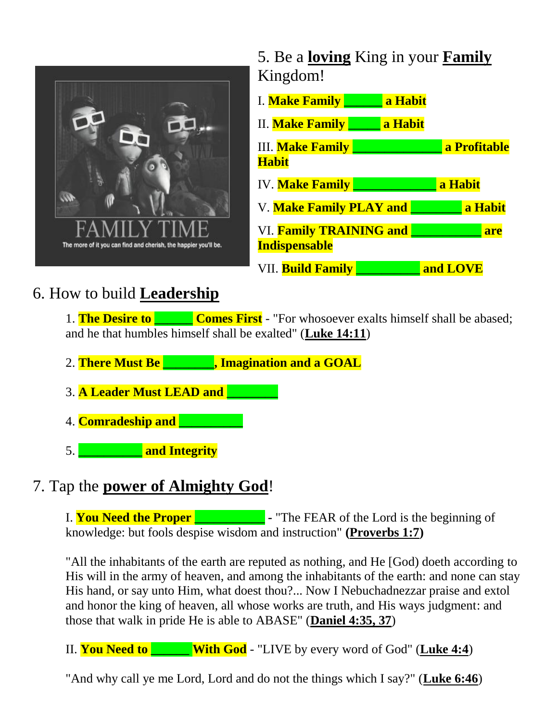

5. Be a **loving** King in your **Family** Kingdom!

| I. Make Family                                                | a Habit |              |
|---------------------------------------------------------------|---------|--------------|
| <b>II.</b> Make Family                                        | a Habit |              |
| <b>III.</b> Make Family                                       |         | a Profitable |
| <b>Habit</b>                                                  |         |              |
| <b>IV. Make Family</b>                                        |         | a Habit      |
| <b>V. Make Family PLAY and</b>                                |         | a Habit      |
| <b>VI. Family TRAINING and</b><br>are<br><b>Indispensable</b> |         |              |
| VII. <b>Build Family</b>                                      |         | and LOVE     |

# 6. How to build **Leadership**

1. **The Desire to Comes First** - "For whosoever exalts himself shall be abased; and he that humbles himself shall be exalted" (**Luke 14:11**)

- 2. **There Must Be \_\_\_\_\_\_\_\_, Imagination and a GOAL**
- 3. **A Leader Must LEAD and \_\_\_\_\_\_\_\_**
- 4. **Comradeship and \_\_\_\_\_\_\_\_\_\_**
- 5. **\_\_\_\_\_\_\_\_\_\_ and Integrity**

## 7. Tap the **power of Almighty God**!

I. **You Need the Proper \_\_\_\_\_\_\_\_\_\_\_ -** "The FEAR of the Lord is the beginning of knowledge: but fools despise wisdom and instruction" **(Proverbs 1:7)**

"All the inhabitants of the earth are reputed as nothing, and He [God) doeth according to His will in the army of heaven, and among the inhabitants of the earth: and none can stay His hand, or say unto Him, what doest thou?... Now I Nebuchadnezzar praise and extol and honor the king of heaven, all whose works are truth, and His ways judgment: and those that walk in pride He is able to ABASE" (**Daniel 4:35, 37**)

II. **You Need to \_\_\_\_\_\_ With God** - "LIVE by every word of God" (**Luke 4:4**)

"And why call ye me Lord, Lord and do not the things which I say?" (**Luke 6:46**)